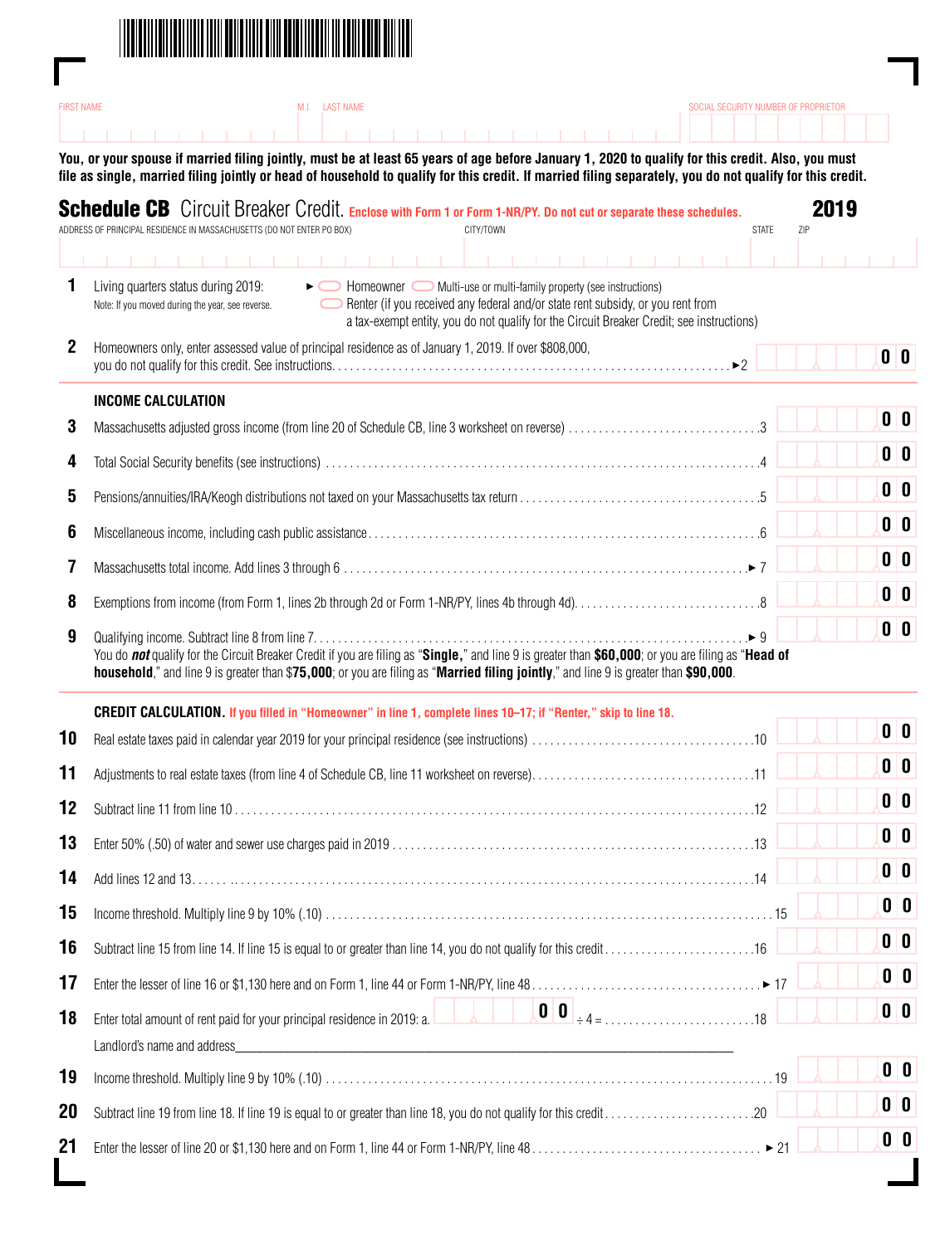

|                                                          | M.I. LAST NAME<br><b>FIRST NAME</b><br>SOCIAL SECURITY NUMBER OF PROPRIETOR                                                                                                                                                                                                                                                                    |                         |             |                             |  |
|----------------------------------------------------------|------------------------------------------------------------------------------------------------------------------------------------------------------------------------------------------------------------------------------------------------------------------------------------------------------------------------------------------------|-------------------------|-------------|-----------------------------|--|
|                                                          |                                                                                                                                                                                                                                                                                                                                                |                         |             |                             |  |
|                                                          | You, or your spouse if married filing jointly, must be at least 65 years of age before January 1, 2020 to qualify for this credit. Also, you must<br>file as single, married filing jointly or head of household to qualify for this credit. If married filing separately, you do not qualify for this credit.                                 |                         |             |                             |  |
|                                                          | <b>Schedule CB</b> Circuit Breaker Credit. Enclose with Form 1 or Form 1-NR/PY. Do not cut or separate these schedules.<br>ADDRESS OF PRINCIPAL RESIDENCE IN MASSACHUSETTS (DO NOT ENTER PO BOX)<br>CITY/TOWN                                                                                                                                  | <b>STATE</b>            | 2019<br>ZIP |                             |  |
|                                                          |                                                                                                                                                                                                                                                                                                                                                |                         |             |                             |  |
| 1                                                        | Living quarters status during 2019:<br>• • Homeowner Multi-use or multi-family property (see instructions)<br>Renter (if you received any federal and/or state rent subsidy, or you rent from<br>Note: If you moved during the year, see reverse.<br>a tax-exempt entity, you do not qualify for the Circuit Breaker Credit; see instructions) |                         |             |                             |  |
| 2                                                        | Homeowners only, enter assessed value of principal residence as of January 1, 2019. If over \$808,000,                                                                                                                                                                                                                                         |                         |             | 0 <sup>0</sup>              |  |
|                                                          | <b>INCOME CALCULATION</b>                                                                                                                                                                                                                                                                                                                      |                         |             |                             |  |
| 3                                                        | Massachusetts adjusted gross income (from line 20 of Schedule CB, line 3 worksheet on reverse) 3                                                                                                                                                                                                                                               |                         |             | $\mathbf{0}$ $\mathbf{0}$   |  |
| 4                                                        |                                                                                                                                                                                                                                                                                                                                                |                         |             | 0 <sup>0</sup>              |  |
| 5                                                        |                                                                                                                                                                                                                                                                                                                                                |                         |             | 0 <sup>0</sup>              |  |
| 6                                                        |                                                                                                                                                                                                                                                                                                                                                |                         |             | $\mathbf{0}$ $\mathbf{0}$   |  |
|                                                          |                                                                                                                                                                                                                                                                                                                                                |                         |             | 0 <sup>0</sup>              |  |
| 8                                                        |                                                                                                                                                                                                                                                                                                                                                |                         |             | 0 <sup>0</sup>              |  |
| 9                                                        |                                                                                                                                                                                                                                                                                                                                                | $\blacktriangleright$ 9 |             | 0 <sup>0</sup>              |  |
|                                                          | You do not qualify for the Circuit Breaker Credit if you are filing as "Single," and line 9 is greater than \$60,000; or you are filing as "Head of<br>household," and line 9 is greater than \$75,000; or you are filing as "Married filing jointly," and line 9 is greater than \$90,000.                                                    |                         |             |                             |  |
|                                                          | CREDIT CALCULATION. If you filled in "Homeowner" in line 1, complete lines 10-17; if "Renter," skip to line 18.                                                                                                                                                                                                                                |                         |             |                             |  |
| 10                                                       |                                                                                                                                                                                                                                                                                                                                                |                         |             | 0 <sup>0</sup>              |  |
|                                                          |                                                                                                                                                                                                                                                                                                                                                |                         |             |                             |  |
|                                                          |                                                                                                                                                                                                                                                                                                                                                |                         |             | $\mathbf{0}$ $\mathbf{0}$   |  |
|                                                          |                                                                                                                                                                                                                                                                                                                                                |                         |             | $\mathbf{0}$ $\mathbf{0}$   |  |
|                                                          |                                                                                                                                                                                                                                                                                                                                                |                         |             | $\mathbf{0}$   $\mathbf{0}$ |  |
|                                                          |                                                                                                                                                                                                                                                                                                                                                |                         |             | 0 0                         |  |
|                                                          |                                                                                                                                                                                                                                                                                                                                                |                         |             | $\mathbf{0}$ $\mathbf{0}$   |  |
|                                                          |                                                                                                                                                                                                                                                                                                                                                |                         |             | 0 0                         |  |
|                                                          |                                                                                                                                                                                                                                                                                                                                                |                         |             | 0 0                         |  |
|                                                          |                                                                                                                                                                                                                                                                                                                                                |                         |             | $\mathbf{0}$ $\mathbf{0}$   |  |
|                                                          | Enter total amount of rent paid for your principal residence in 2019: a.                                                                                                                                                                                                                                                                       |                         |             |                             |  |
|                                                          |                                                                                                                                                                                                                                                                                                                                                |                         |             | 0 <sup>0</sup>              |  |
| 11<br>12<br>13<br>14<br>15<br>16<br>17<br>18<br>19<br>20 |                                                                                                                                                                                                                                                                                                                                                |                         |             | 0 <sub>0</sub>              |  |